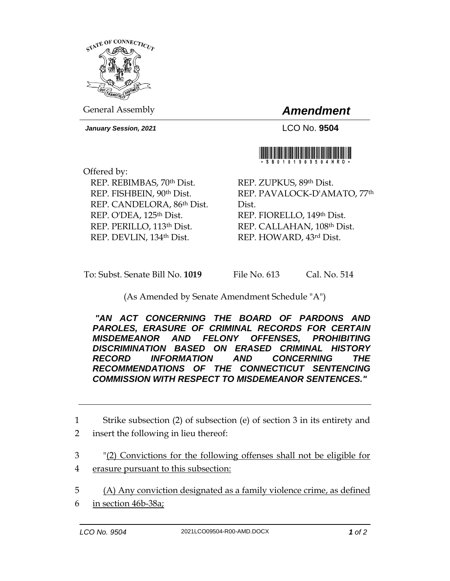

General Assembly *Amendment*

*January Session, 2021* LCO No. **9504**

Offered by: REP. REBIMBAS, 70th Dist. REP. FISHBEIN, 90th Dist. REP. CANDELORA, 86th Dist. REP. O'DEA, 125<sup>th</sup> Dist. REP. PERILLO, 113th Dist. REP. DEVLIN, 134th Dist.

REP. ZUPKUS, 89th Dist. REP. PAVALOCK-D'AMATO, 77th Dist. REP. FIORELLO, 149th Dist. REP. CALLAHAN, 108th Dist. REP. HOWARD, 43rd Dist.

To: Subst. Senate Bill No. **1019** File No. 613 Cal. No. 514

## (As Amended by Senate Amendment Schedule "A")

*"AN ACT CONCERNING THE BOARD OF PARDONS AND PAROLES, ERASURE OF CRIMINAL RECORDS FOR CERTAIN MISDEMEANOR AND FELONY OFFENSES, PROHIBITING DISCRIMINATION BASED ON ERASED CRIMINAL HISTORY RECORD INFORMATION AND CONCERNING THE RECOMMENDATIONS OF THE CONNECTICUT SENTENCING COMMISSION WITH RESPECT TO MISDEMEANOR SENTENCES."* 

- 3 "(2) Convictions for the following offenses shall not be eligible for 4 erasure pursuant to this subsection:
- 5 (A) Any conviction designated as a family violence crime, as defined 6 in section 46b-38a;
- 



<sup>1</sup> Strike subsection (2) of subsection (e) of section 3 in its entirety and 2 insert the following in lieu thereof: